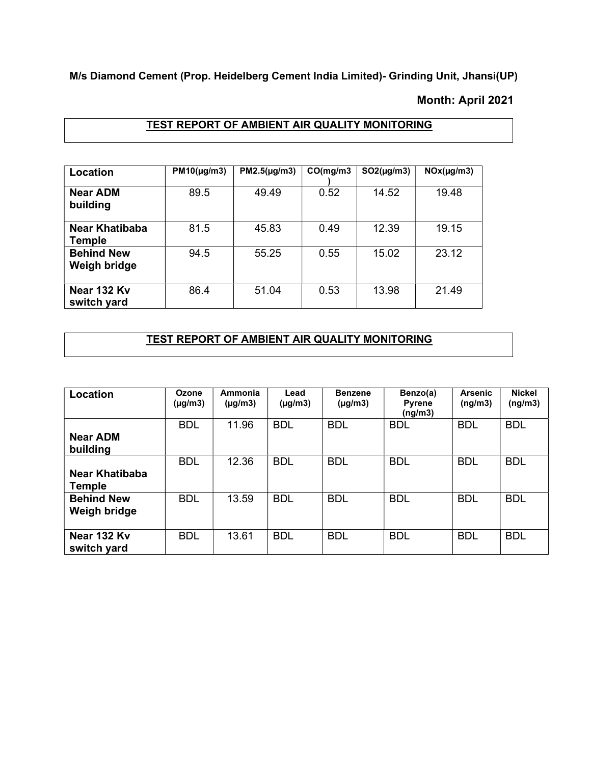M/s Diamond Cement (Prop. Heidelberg Cement India Limited)- Grinding Unit, Jhansi(UP)

### Month: April 2021

## TEST REPORT OF AMBIENT AIR QUALITY MONITORING

| Location                          | $PM10(\mu g/m3)$ | $PM2.5(\mu g/m3)$ | CO(mg/m3) | $SO2(\mu g/m3)$ | NOx(µg/m3) |
|-----------------------------------|------------------|-------------------|-----------|-----------------|------------|
| <b>Near ADM</b><br>building       | 89.5             | 49.49             | 0.52      | 14.52           | 19.48      |
| Near Khatibaba<br>Temple          | 81.5             | 45.83             | 0.49      | 12.39           | 19.15      |
| <b>Behind New</b><br>Weigh bridge | 94.5             | 55.25             | 0.55      | 15.02           | 23.12      |
| Near 132 Kv<br>switch yard        | 86.4             | 51.04             | 0.53      | 13.98           | 21.49      |

# TEST REPORT OF AMBIENT AIR QUALITY MONITORING

| Location                          | <b>Ozone</b><br>$(\mu g/m3)$ | Ammonia<br>$(\mu q/m3)$ | Lead<br>$(\mu g/m3)$ | <b>Benzene</b><br>$(\mu g/m3)$ | Benzo(a)<br><b>Pyrene</b><br>(ng/m3) | Arsenic<br>(ng/m3) | <b>Nickel</b><br>(nq/m3) |
|-----------------------------------|------------------------------|-------------------------|----------------------|--------------------------------|--------------------------------------|--------------------|--------------------------|
| <b>Near ADM</b><br>building       | <b>BDL</b>                   | 11.96                   | <b>BDL</b>           | <b>BDL</b>                     | <b>BDL</b>                           | <b>BDL</b>         | <b>BDL</b>               |
| Near Khatibaba<br><b>Temple</b>   | <b>BDL</b>                   | 12.36                   | <b>BDL</b>           | <b>BDL</b>                     | <b>BDL</b>                           | <b>BDL</b>         | <b>BDL</b>               |
| <b>Behind New</b><br>Weigh bridge | <b>BDL</b>                   | 13.59                   | <b>BDL</b>           | <b>BDL</b>                     | <b>BDL</b>                           | <b>BDL</b>         | <b>BDL</b>               |
| Near 132 Ky<br>switch yard        | <b>BDL</b>                   | 13.61                   | <b>BDL</b>           | <b>BDL</b>                     | <b>BDL</b>                           | <b>BDL</b>         | <b>BDL</b>               |